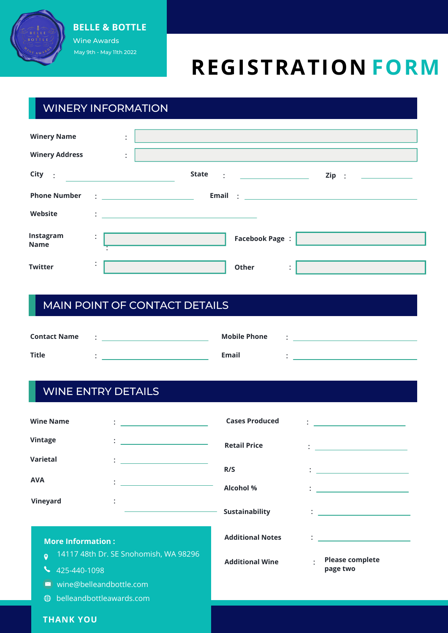

#### **BELLE B** Wine Awards May 9th - May 11th 2022 **BELLE & BOTTLE**

# **REGISTRATION FORM**

## WINERY INFORMATION

| <b>Winery Name</b><br><b>Winery Address</b> | $\bullet$<br>$\ddot{\phantom{0}}$<br>$\bullet$<br>$\ddot{\phantom{a}}$ |                                                                                                                                                                                                                                   | 그 사이에 대한 사이에 대한 사이를 하는 것이 아니라 그 사이에게 하는 것이 아니라 그 사이에 대한 사이를 하는 것이다.                                                                       |       |
|---------------------------------------------|------------------------------------------------------------------------|-----------------------------------------------------------------------------------------------------------------------------------------------------------------------------------------------------------------------------------|-------------------------------------------------------------------------------------------------------------------------------------------|-------|
| $City$ :                                    |                                                                        | <b>State</b>                                                                                                                                                                                                                      | $\mathbf{E} = \left\{ \begin{array}{ll} \mathbf{E} & \mathbf{E} & \mathbf{E} \\ \mathbf{E} & \mathbf{E} & \mathbf{E} \end{array} \right.$ | Zip : |
| <b>Phone Number</b>                         |                                                                        | $\frac{1}{2}$ . The contract of the contract of the contract of the contract of the contract of the contract of the contract of the contract of the contract of the contract of the contract of the contract of the contract of t |                                                                                                                                           |       |
| Website                                     | ÷                                                                      | <u> 1989 - Andrea State Barbara, martin a</u>                                                                                                                                                                                     |                                                                                                                                           |       |
| Instagram<br><b>Name</b>                    | $\ddot{\cdot}$                                                         |                                                                                                                                                                                                                                   | <b>Facebook Page:</b>                                                                                                                     |       |
| <b>Twitter</b>                              | $\bullet$<br>$\bullet$                                                 |                                                                                                                                                                                                                                   | Other<br>$\bullet$<br>$\bullet$                                                                                                           |       |

# MAIN POINT OF CONTACT DETAILS

| <b>Contact Name</b> | <b>Mobile Phone</b> |  |
|---------------------|---------------------|--|
| <b>Title</b>        | <b>Email</b>        |  |

### WINE ENTRY DETAILS

| <b>Wine Name</b>         | $\mathcal{L} = \underbrace{\mathcal{L} \times \mathcal{L} \times \mathcal{L} \times \mathcal{L} \times \mathcal{L} \times \mathcal{L} \times \mathcal{L} \times \mathcal{L} \times \mathcal{L} \times \mathcal{L} \times \mathcal{L} \times \mathcal{L} \times \mathcal{L} \times \mathcal{L} \times \mathcal{L} \times \mathcal{L} \times \mathcal{L} \times \mathcal{L} \times \mathcal{L} \times \mathcal{L} \times \mathcal{L} \times \mathcal{L} \times \mathcal{L} \times \mathcal{L} \times \mathcal{L} \times \mathcal{L} \times \math$ | <b>Cases Produced</b>   | <u> : a construction de la proprietation de la proprietation de la proprietation de la proprietation de la proprie</u>                                                                                                                    |
|--------------------------|-------------------------------------------------------------------------------------------------------------------------------------------------------------------------------------------------------------------------------------------------------------------------------------------------------------------------------------------------------------------------------------------------------------------------------------------------------------------------------------------------------------------------------------------------|-------------------------|-------------------------------------------------------------------------------------------------------------------------------------------------------------------------------------------------------------------------------------------|
| Vintage                  | $\mathcal{L}=\frac{1}{\sqrt{2\pi}\left(1-\frac{1}{2}\right)}\left(\frac{1}{2}-\frac{1}{2}\right)$                                                                                                                                                                                                                                                                                                                                                                                                                                               | <b>Retail Price</b>     | $\ddot{\cdot}$ . The contract of the contract of the contract of the contract of the contract of the contract of the contract of the contract of the contract of the contract of the contract of the contract of the contract of th       |
| Varietal                 | $\mathcal{I}=\underbrace{\mathcal{I}(\mathcal{I}(\mathcal{I}(\mathcal{I}(\mathcal{I}(\mathcal{I}(\mathcal{I}(\mathcal{I}(\mathcal{I}(\mathcal{I}(\mathcal{I}(\mathcal{I}(\mathcal{I}(\mathcal{I}(\mathcal{I}(\mathcal{I}(\mathcal{I}(\mathcal{I}(\mathcal{I}(\mathcal{I}(\mathcal{I}(\mathcal{I}(\mathcal{I}(\mathcal{I}(\mathcal{I}(\mathcal{I}(\mathcal{I}(\mathcal{I}(\mathcal{I}(\mathcal{I}(\mathcal{I}(\mathcal{I}(\mathcal{I}(\mathcal{I}(\mathcal{I}(\$                                                                                 | R/S                     | $\ddot{\cdot}$ <u>. The contract of the contract of the contract of the contract of the contract of the contract of the contract of the contract of the contract of the contract of the contract of the contract of the contract of t</u> |
| <b>AVA</b>               | ÷<br><u> 1980 - Andrea Station Books, amerikansk politik (</u>                                                                                                                                                                                                                                                                                                                                                                                                                                                                                  | <b>Alcohol %</b>        | $\mathbf{C}=\frac{1}{2}$ . The set of $\mathbf{C}=\frac{1}{2}$ , $\mathbf{C}=\frac{1}{2}$ , $\mathbf{C}=\frac{1}{2}$ , $\mathbf{C}=\frac{1}{2}$                                                                                           |
| Vineyard                 |                                                                                                                                                                                                                                                                                                                                                                                                                                                                                                                                                 | Sustainability          | $\frac{1}{2}$ . The contract of the contract of the contract of the contract of the contract of the contract of the contract of the contract of the contract of the contract of the contract of the contract of the contract of t         |
| <b>More Information:</b> |                                                                                                                                                                                                                                                                                                                                                                                                                                                                                                                                                 | <b>Additional Notes</b> | $\mathbf{1}$ . The contract of the contract of the contract of the contract of the contract of the contract of the contract of the contract of the contract of the contract of the contract of the contract of the contract of th         |
| Õ<br>425-440-1098        | 14117 48th Dr. SE Snohomish, WA 98296                                                                                                                                                                                                                                                                                                                                                                                                                                                                                                           | <b>Additional Wine</b>  | <b>Please complete</b><br>$\bullet$<br>page two                                                                                                                                                                                           |

#### **THANK YOU**

belleandbottleawards.com

wine@belleandbottle.com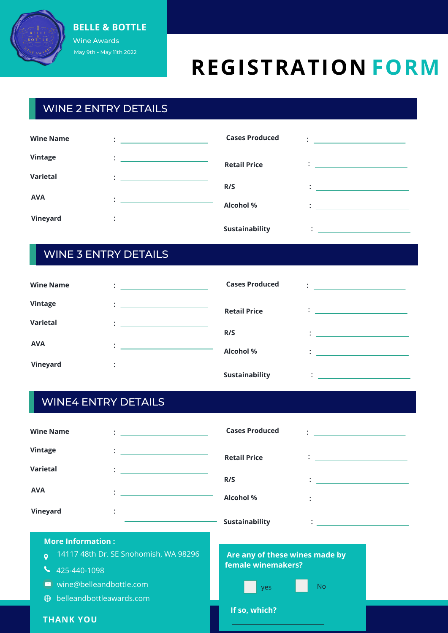

#### **BELLE B** Wine Awards **BELLE & BOTTLE**

May 9th - May 11th 2022

# **REGISTRATION FORM**

# WINE 2 ENTRY DETAILS

| <b>Wine Name</b> | ٠                                 | <b>Cases Produced</b> |                                                   |
|------------------|-----------------------------------|-----------------------|---------------------------------------------------|
| Vintage          | ٠<br>٠                            | <b>Retail Price</b>   |                                                   |
| Varietal         | $\bullet$                         | R/S                   | <u> 1980 - Jan Barbara Barbara, manazarta da </u> |
| <b>AVA</b>       |                                   | <b>Alcohol %</b>      |                                                   |
| Vineyard         | $\bullet$<br>$\ddot{\phantom{0}}$ | Sustainability        |                                                   |

## WINE 3 ENTRY DETAILS

| <b>Wine Name</b> | $\bullet$                                                                                                                                           | <b>Cases Produced</b> |                                                                                                                                                                                                                                       |
|------------------|-----------------------------------------------------------------------------------------------------------------------------------------------------|-----------------------|---------------------------------------------------------------------------------------------------------------------------------------------------------------------------------------------------------------------------------------|
| <b>Vintage</b>   | $\ddot{\cdot}$<br><u> 1980 - Andrea Andrew Maria (b. 1980)</u>                                                                                      | <b>Retail Price</b>   | $\ddot{\bullet}$ . The contract of the contract of the contract of the contract of the contract of the contract of the contract of the contract of the contract of the contract of the contract of the contract of the contract of th |
| Varietal         | ٠<br><u> 1989 - Andrea Aonaich, ann an t-Aonaich an t-Aonaich an t-Aonaich an t-Aonaich an t-Aonaich an t-Aonaich an t-</u><br>$\ddot{\phantom{a}}$ | R/S                   |                                                                                                                                                                                                                                       |
| <b>AVA</b>       | $\bullet$<br>٠                                                                                                                                      | <b>Alcohol %</b>      | the contract of the contract of the contract of                                                                                                                                                                                       |
| Vineyard         | $\bullet$<br>$\ddot{\phantom{0}}$                                                                                                                   |                       |                                                                                                                                                                                                                                       |
|                  |                                                                                                                                                     | <b>Sustainability</b> |                                                                                                                                                                                                                                       |

# WINE4 ENTRY DETAILS

| <b>Wine Name</b>                        | $\mathbf{1}_{\{1,2,3,4,5\}}$ . The contract of the contract of $\mathbf{1}_{\{1,2,3,4,5\}}$ | <b>Cases Produced</b>          | <u> 1989 - Andrea Station, amerikansk politik (</u>                                                                                                                                                                               |
|-----------------------------------------|---------------------------------------------------------------------------------------------|--------------------------------|-----------------------------------------------------------------------------------------------------------------------------------------------------------------------------------------------------------------------------------|
| Vintage                                 | <u> 1980 - Andrea Andrew Maria (b. 1980)</u>                                                | <b>Retail Price</b>            | $\mathbb{R}^n$ . The contract of the contract of $\mathbb{R}^n$                                                                                                                                                                   |
| <b>Varietal</b>                         | <u> 1999 - John Stein, Amerikaansk politiker (</u>                                          | R/S                            | $\mathbf{1}$ , and the set of the set of the set of the set of the set of the set of the set of the set of the set of the set of the set of the set of the set of the set of the set of the set of the set of the set of the set  |
| <b>AVA</b>                              |                                                                                             | <b>Alcohol %</b>               | $\mathbf{1}$ . The contract of the contract of the contract of the contract of the contract of the contract of the contract of the contract of the contract of the contract of the contract of the contract of the contract of th |
| Vineyard                                |                                                                                             | Sustainability                 | $\ddot{\cdot}$ . The contract of the contract of $\dot{\cdot}$                                                                                                                                                                    |
| <b>More Information:</b>                |                                                                                             |                                |                                                                                                                                                                                                                                   |
| $\bullet$                               | 14117 48th Dr. SE Snohomish, WA 98296                                                       | Are any of these wines made by |                                                                                                                                                                                                                                   |
| 425-440-1098                            |                                                                                             | female winemakers?             |                                                                                                                                                                                                                                   |
| wine@belleandbottle.com                 |                                                                                             | yes                            | N <sub>o</sub>                                                                                                                                                                                                                    |
| belleandbottleawards.com<br>$\bigoplus$ |                                                                                             |                                |                                                                                                                                                                                                                                   |
| <b>THANK YOU</b>                        |                                                                                             | If so, which?                  |                                                                                                                                                                                                                                   |